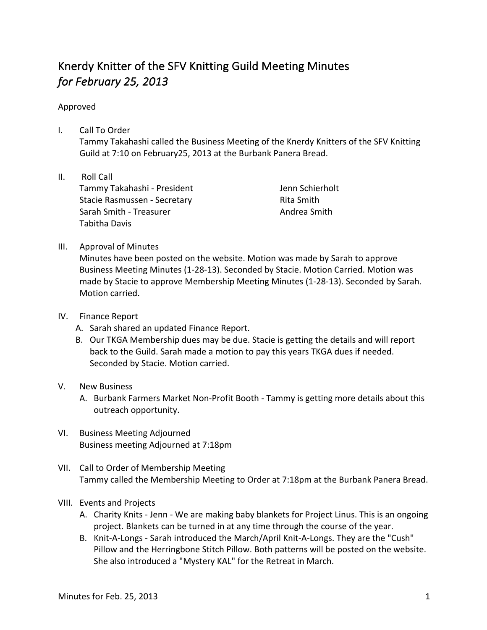## Knerdy Knitter of the SFV Knitting Guild Meeting Minutes *for February 25, 2013*

## Approved

- I. Call To Order Tammy Takahashi called the Business Meeting of the Knerdy Knitters of the SFV Knitting Guild at 7:10 on February25, 2013 at the Burbank Panera Bread.
- II. Roll Call Tammy Takahashi - President Stacie Rasmussen - Secretary Sarah Smith - Treasurer Tabitha Davis

Jenn Schierholt Rita Smith Andrea Smith

III. Approval of Minutes

Minutes have been posted on the website. Motion was made by Sarah to approve Business Meeting Minutes (1-28-13). Seconded by Stacie. Motion Carried. Motion was made by Stacie to approve Membership Meeting Minutes (1-28-13). Seconded by Sarah. Motion carried.

- IV. Finance Report
	- A. Sarah shared an updated Finance Report.
	- B. Our TKGA Membership dues may be due. Stacie is getting the details and will report back to the Guild. Sarah made a motion to pay this years TKGA dues if needed. Seconded by Stacie. Motion carried.
- V. New Business
	- A. Burbank Farmers Market Non-Profit Booth Tammy is getting more details about this outreach opportunity.
- VI. Business Meeting Adjourned Business meeting Adjourned at 7:18pm
- VII. Call to Order of Membership Meeting Tammy called the Membership Meeting to Order at 7:18pm at the Burbank Panera Bread.
- VIII. Events and Projects
	- A. Charity Knits Jenn We are making baby blankets for Project Linus. This is an ongoing project. Blankets can be turned in at any time through the course of the year.
	- B. Knit-A-Longs Sarah introduced the March/April Knit-A-Longs. They are the "Cush" Pillow and the Herringbone Stitch Pillow. Both patterns will be posted on the website. She also introduced a "Mystery KAL" for the Retreat in March.